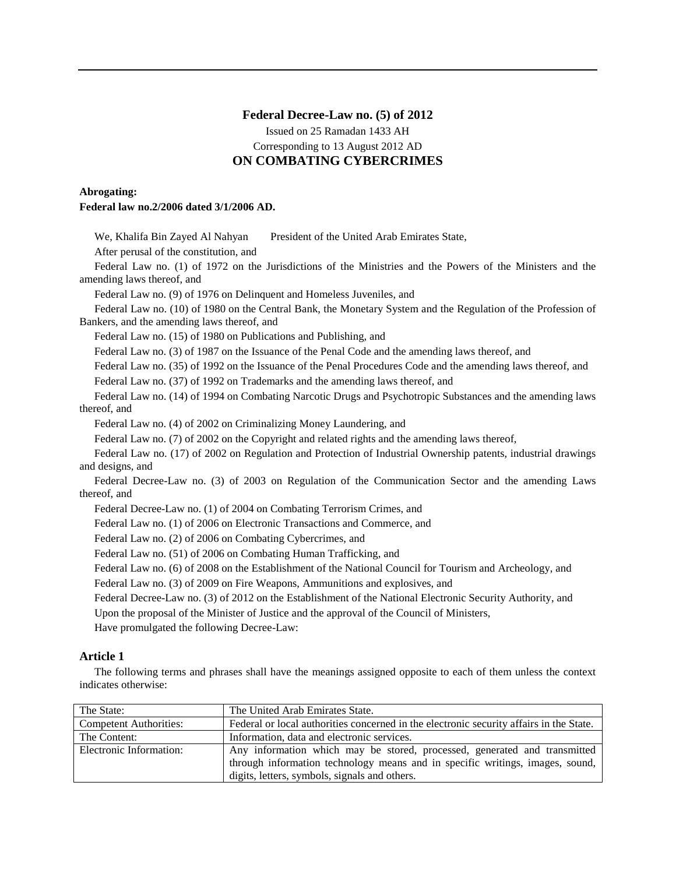## **Federal Decree-Law no. (5) of 2012** Issued on 25 Ramadan 1433 AH

Corresponding to 13 August 2012 AD

# **ON COMBATING CYBERCRIMES**

## **Abrogating: Federal law no.2/2006 dated 3/1/2006 AD.**

We, Khalifa Bin Zayed Al Nahyan President of the United Arab Emirates State, After perusal of the constitution, and Federal Law no. (1) of 1972 on the Jurisdictions of the Ministries and the Powers of the Ministers and the amending laws thereof, and Federal Law no. (9) of 1976 on Delinquent and Homeless Juveniles, and Federal Law no. (10) of 1980 on the Central Bank, the Monetary System and the Regulation of the Profession of Bankers, and the amending laws thereof, and Federal Law no. (15) of 1980 on Publications and Publishing, and Federal Law no. (3) of 1987 on the Issuance of the Penal Code and the amending laws thereof, and Federal Law no. (35) of 1992 on the Issuance of the Penal Procedures Code and the amending laws thereof, and Federal Law no. (37) of 1992 on Trademarks and the amending laws thereof, and Federal Law no. (14) of 1994 on Combating Narcotic Drugs and Psychotropic Substances and the amending laws thereof, and Federal Law no. (4) of 2002 on Criminalizing Money Laundering, and Federal Law no. (7) of 2002 on the Copyright and related rights and the amending laws thereof, Federal Law no. (17) of 2002 on Regulation and Protection of Industrial Ownership patents, industrial drawings and designs, and Federal Decree-Law no. (3) of 2003 on Regulation of the Communication Sector and the amending Laws thereof, and Federal Decree-Law no. (1) of 2004 on Combating Terrorism Crimes, and Federal Law no. (1) of 2006 on Electronic Transactions and Commerce, and Federal Law no. (2) of 2006 on Combating Cybercrimes, and Federal Law no. (51) of 2006 on Combating Human Trafficking, and Federal Law no. (6) of 2008 on the Establishment of the National Council for Tourism and Archeology, and Federal Law no. (3) of 2009 on Fire Weapons, Ammunitions and explosives, and Federal Decree-Law no. (3) of 2012 on the Establishment of the National Electronic Security Authority, and Upon the proposal of the Minister of Justice and the approval of the Council of Ministers, Have promulgated the following Decree-Law:

# **Article 1**

The following terms and phrases shall have the meanings assigned opposite to each of them unless the context indicates otherwise:

| The State:                    | The United Arab Emirates State.                                                         |
|-------------------------------|-----------------------------------------------------------------------------------------|
| <b>Competent Authorities:</b> | Federal or local authorities concerned in the electronic security affairs in the State. |
| The Content:                  | Information, data and electronic services.                                              |
| Electronic Information:       | Any information which may be stored, processed, generated and transmitted               |
|                               | through information technology means and in specific writings, images, sound,           |
|                               | digits, letters, symbols, signals and others.                                           |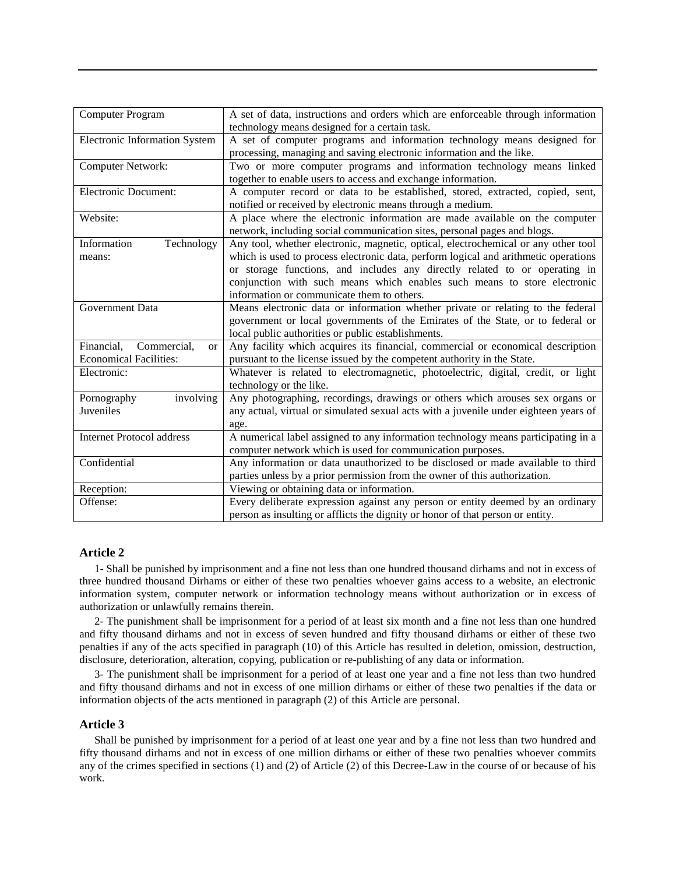| <b>Computer Program</b>                | A set of data, instructions and orders which are enforceable through information<br>technology means designed for a certain task. |
|----------------------------------------|-----------------------------------------------------------------------------------------------------------------------------------|
|                                        |                                                                                                                                   |
| <b>Electronic Information System</b>   | A set of computer programs and information technology means designed for                                                          |
|                                        | processing, managing and saving electronic information and the like.                                                              |
| Computer Network:                      | Two or more computer programs and information technology means linked                                                             |
|                                        |                                                                                                                                   |
|                                        | together to enable users to access and exchange information.                                                                      |
| <b>Electronic Document:</b>            | A computer record or data to be established, stored, extracted, copied, sent,                                                     |
|                                        |                                                                                                                                   |
|                                        | notified or received by electronic means through a medium.                                                                        |
| Website:                               | A place where the electronic information are made available on the computer                                                       |
|                                        | network, including social communication sites, personal pages and blogs.                                                          |
|                                        |                                                                                                                                   |
| Technology<br>Information              | Any tool, whether electronic, magnetic, optical, electrochemical or any other tool                                                |
| means:                                 | which is used to process electronic data, perform logical and arithmetic operations                                               |
|                                        | or storage functions, and includes any directly related to or operating in                                                        |
|                                        |                                                                                                                                   |
|                                        | conjunction with such means which enables such means to store electronic                                                          |
|                                        | information or communicate them to others.                                                                                        |
| Government Data                        | Means electronic data or information whether private or relating to the federal                                                   |
|                                        | government or local governments of the Emirates of the State, or to federal or                                                    |
|                                        | local public authorities or public establishments.                                                                                |
|                                        |                                                                                                                                   |
| Financial,<br>Commercial,<br><b>or</b> | Any facility which acquires its financial, commercial or economical description                                                   |
| <b>Economical Facilities:</b>          | pursuant to the license issued by the competent authority in the State.                                                           |
| Electronic:                            | Whatever is related to electromagnetic, photoelectric, digital, credit, or light                                                  |
|                                        | technology or the like.                                                                                                           |
|                                        |                                                                                                                                   |
| Pornography<br>involving               | Any photographing, recordings, drawings or others which arouses sex organs or                                                     |
| Juveniles                              | any actual, virtual or simulated sexual acts with a juvenile under eighteen years of                                              |
|                                        | age.                                                                                                                              |
|                                        |                                                                                                                                   |
| <b>Internet Protocol address</b>       | A numerical label assigned to any information technology means participating in a                                                 |
|                                        | computer network which is used for communication purposes.                                                                        |
| Confidential                           | Any information or data unauthorized to be disclosed or made available to third                                                   |
|                                        | parties unless by a prior permission from the owner of this authorization.                                                        |
| Reception:                             | Viewing or obtaining data or information.                                                                                         |
|                                        |                                                                                                                                   |
| Offense:                               | Every deliberate expression against any person or entity deemed by an ordinary                                                    |
|                                        | person as insulting or afflicts the dignity or honor of that person or entity.                                                    |

## **Article 2**

1- Shall be punished by imprisonment and a fine not less than one hundred thousand dirhams and not in excess of three hundred thousand Dirhams or either of these two penalties whoever gains access to a website, an electronic information system, computer network or information technology means without authorization or in excess of authorization or unlawfully remains therein.

2- The punishment shall be imprisonment for a period of at least six month and a fine not less than one hundred and fifty thousand dirhams and not in excess of seven hundred and fifty thousand dirhams or either of these two penalties if any of the acts specified in paragraph (10) of this Article has resulted in deletion, omission, destruction, disclosure, deterioration, alteration, copying, publication or re-publishing of any data or information.

3- The punishment shall be imprisonment for a period of at least one year and a fine not less than two hundred and fifty thousand dirhams and not in excess of one million dirhams or either of these two penalties if the data or information objects of the acts mentioned in paragraph (2) of this Article are personal.

## **Article 3**

Shall be punished by imprisonment for a period of at least one year and by a fine not less than two hundred and fifty thousand dirhams and not in excess of one million dirhams or either of these two penalties whoever commits any of the crimes specified in sections (1) and (2) of Article (2) of this Decree-Law in the course of or because of his work.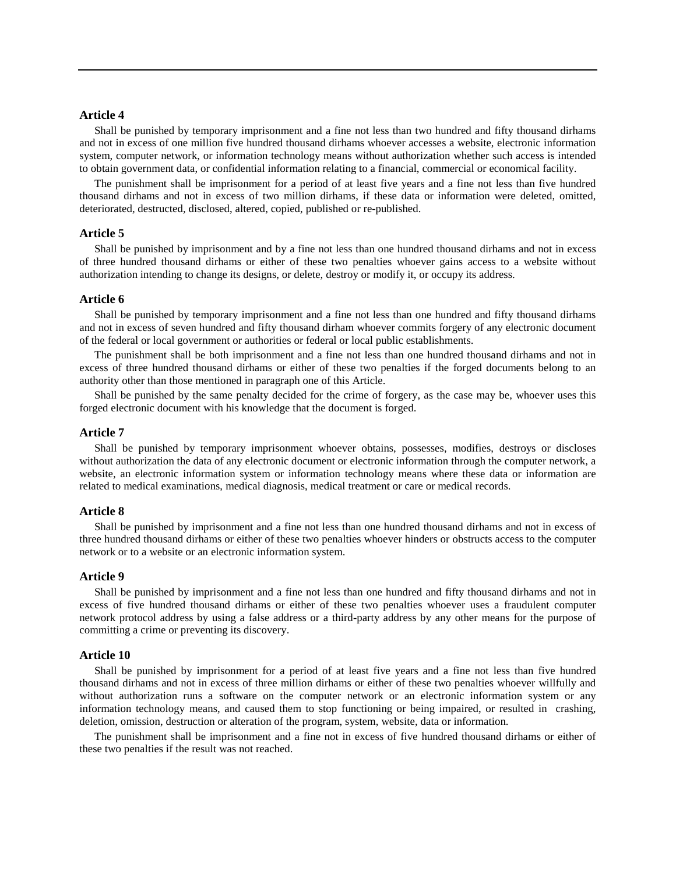## **Article 4**

Shall be punished by temporary imprisonment and a fine not less than two hundred and fifty thousand dirhams and not in excess of one million five hundred thousand dirhams whoever accesses a website, electronic information system, computer network, or information technology means without authorization whether such access is intended to obtain government data, or confidential information relating to a financial, commercial or economical facility.

The punishment shall be imprisonment for a period of at least five years and a fine not less than five hundred thousand dirhams and not in excess of two million dirhams, if these data or information were deleted, omitted, deteriorated, destructed, disclosed, altered, copied, published or re-published.

## **Article 5**

Shall be punished by imprisonment and by a fine not less than one hundred thousand dirhams and not in excess of three hundred thousand dirhams or either of these two penalties whoever gains access to a website without authorization intending to change its designs, or delete, destroy or modify it, or occupy its address.

#### **Article 6**

Shall be punished by temporary imprisonment and a fine not less than one hundred and fifty thousand dirhams and not in excess of seven hundred and fifty thousand dirham whoever commits forgery of any electronic document of the federal or local government or authorities or federal or local public establishments.

The punishment shall be both imprisonment and a fine not less than one hundred thousand dirhams and not in excess of three hundred thousand dirhams or either of these two penalties if the forged documents belong to an authority other than those mentioned in paragraph one of this Article.

Shall be punished by the same penalty decided for the crime of forgery, as the case may be, whoever uses this forged electronic document with his knowledge that the document is forged.

## **Article 7**

Shall be punished by temporary imprisonment whoever obtains, possesses, modifies, destroys or discloses without authorization the data of any electronic document or electronic information through the computer network, a website, an electronic information system or information technology means where these data or information are related to medical examinations, medical diagnosis, medical treatment or care or medical records.

## **Article 8**

Shall be punished by imprisonment and a fine not less than one hundred thousand dirhams and not in excess of three hundred thousand dirhams or either of these two penalties whoever hinders or obstructs access to the computer network or to a website or an electronic information system.

## **Article 9**

Shall be punished by imprisonment and a fine not less than one hundred and fifty thousand dirhams and not in excess of five hundred thousand dirhams or either of these two penalties whoever uses a fraudulent computer network protocol address by using a false address or a third-party address by any other means for the purpose of committing a crime or preventing its discovery.

#### **Article 10**

Shall be punished by imprisonment for a period of at least five years and a fine not less than five hundred thousand dirhams and not in excess of three million dirhams or either of these two penalties whoever willfully and without authorization runs a software on the computer network or an electronic information system or any information technology means, and caused them to stop functioning or being impaired, or resulted in crashing, deletion, omission, destruction or alteration of the program, system, website, data or information.

The punishment shall be imprisonment and a fine not in excess of five hundred thousand dirhams or either of these two penalties if the result was not reached.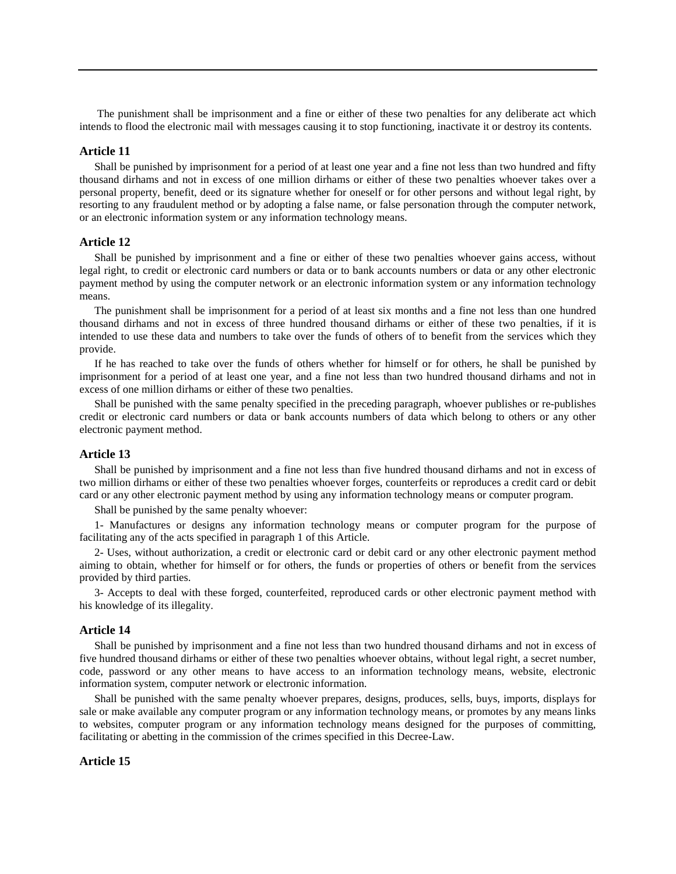The punishment shall be imprisonment and a fine or either of these two penalties for any deliberate act which intends to flood the electronic mail with messages causing it to stop functioning, inactivate it or destroy its contents.

## **Article 11**

Shall be punished by imprisonment for a period of at least one year and a fine not less than two hundred and fifty thousand dirhams and not in excess of one million dirhams or either of these two penalties whoever takes over a personal property, benefit, deed or its signature whether for oneself or for other persons and without legal right, by resorting to any fraudulent method or by adopting a false name, or false personation through the computer network, or an electronic information system or any information technology means.

## **Article 12**

Shall be punished by imprisonment and a fine or either of these two penalties whoever gains access, without legal right, to credit or electronic card numbers or data or to bank accounts numbers or data or any other electronic payment method by using the computer network or an electronic information system or any information technology means.

The punishment shall be imprisonment for a period of at least six months and a fine not less than one hundred thousand dirhams and not in excess of three hundred thousand dirhams or either of these two penalties, if it is intended to use these data and numbers to take over the funds of others of to benefit from the services which they provide.

If he has reached to take over the funds of others whether for himself or for others, he shall be punished by imprisonment for a period of at least one year, and a fine not less than two hundred thousand dirhams and not in excess of one million dirhams or either of these two penalties.

Shall be punished with the same penalty specified in the preceding paragraph, whoever publishes or re-publishes credit or electronic card numbers or data or bank accounts numbers of data which belong to others or any other electronic payment method.

## **Article 13**

Shall be punished by imprisonment and a fine not less than five hundred thousand dirhams and not in excess of two million dirhams or either of these two penalties whoever forges, counterfeits or reproduces a credit card or debit card or any other electronic payment method by using any information technology means or computer program.

Shall be punished by the same penalty whoever:

1- Manufactures or designs any information technology means or computer program for the purpose of facilitating any of the acts specified in paragraph 1 of this Article.

2- Uses, without authorization, a credit or electronic card or debit card or any other electronic payment method aiming to obtain, whether for himself or for others, the funds or properties of others or benefit from the services provided by third parties.

3- Accepts to deal with these forged, counterfeited, reproduced cards or other electronic payment method with his knowledge of its illegality.

## **Article 14**

Shall be punished by imprisonment and a fine not less than two hundred thousand dirhams and not in excess of five hundred thousand dirhams or either of these two penalties whoever obtains, without legal right, a secret number, code, password or any other means to have access to an information technology means, website, electronic information system, computer network or electronic information.

Shall be punished with the same penalty whoever prepares, designs, produces, sells, buys, imports, displays for sale or make available any computer program or any information technology means, or promotes by any means links to websites, computer program or any information technology means designed for the purposes of committing, facilitating or abetting in the commission of the crimes specified in this Decree-Law.

## **Article 15**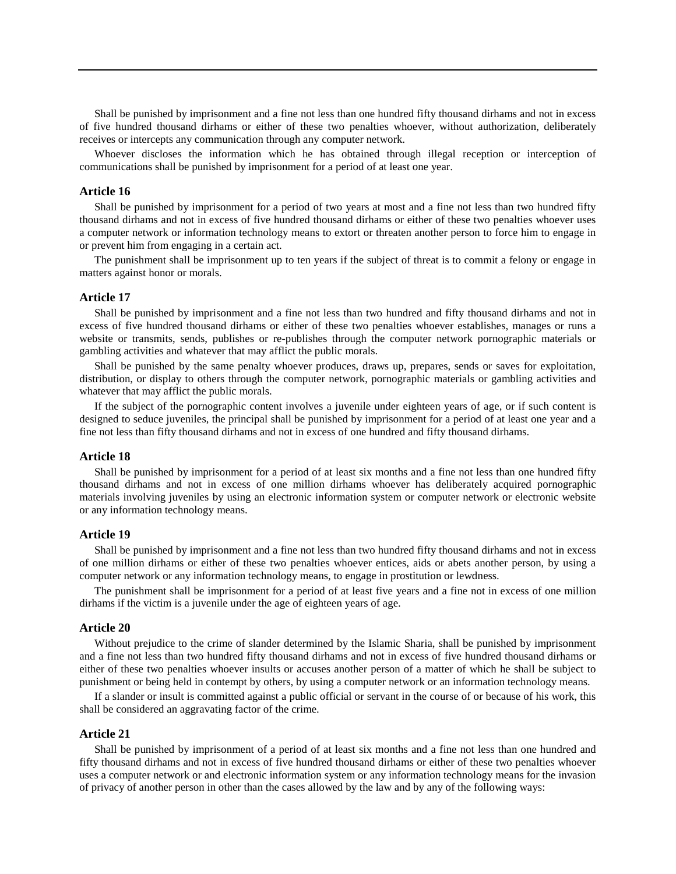Shall be punished by imprisonment and a fine not less than one hundred fifty thousand dirhams and not in excess of five hundred thousand dirhams or either of these two penalties whoever, without authorization, deliberately receives or intercepts any communication through any computer network.

Whoever discloses the information which he has obtained through illegal reception or interception of communications shall be punished by imprisonment for a period of at least one year.

#### **Article 16**

Shall be punished by imprisonment for a period of two years at most and a fine not less than two hundred fifty thousand dirhams and not in excess of five hundred thousand dirhams or either of these two penalties whoever uses a computer network or information technology means to extort or threaten another person to force him to engage in or prevent him from engaging in a certain act.

The punishment shall be imprisonment up to ten years if the subject of threat is to commit a felony or engage in matters against honor or morals.

## **Article 17**

Shall be punished by imprisonment and a fine not less than two hundred and fifty thousand dirhams and not in excess of five hundred thousand dirhams or either of these two penalties whoever establishes, manages or runs a website or transmits, sends, publishes or re-publishes through the computer network pornographic materials or gambling activities and whatever that may afflict the public morals.

Shall be punished by the same penalty whoever produces, draws up, prepares, sends or saves for exploitation, distribution, or display to others through the computer network, pornographic materials or gambling activities and whatever that may afflict the public morals.

If the subject of the pornographic content involves a juvenile under eighteen years of age, or if such content is designed to seduce juveniles, the principal shall be punished by imprisonment for a period of at least one year and a fine not less than fifty thousand dirhams and not in excess of one hundred and fifty thousand dirhams.

#### **Article 18**

Shall be punished by imprisonment for a period of at least six months and a fine not less than one hundred fifty thousand dirhams and not in excess of one million dirhams whoever has deliberately acquired pornographic materials involving juveniles by using an electronic information system or computer network or electronic website or any information technology means.

## **Article 19**

Shall be punished by imprisonment and a fine not less than two hundred fifty thousand dirhams and not in excess of one million dirhams or either of these two penalties whoever entices, aids or abets another person, by using a computer network or any information technology means, to engage in prostitution or lewdness.

The punishment shall be imprisonment for a period of at least five years and a fine not in excess of one million dirhams if the victim is a juvenile under the age of eighteen years of age.

#### **Article 20**

Without prejudice to the crime of slander determined by the Islamic Sharia, shall be punished by imprisonment and a fine not less than two hundred fifty thousand dirhams and not in excess of five hundred thousand dirhams or either of these two penalties whoever insults or accuses another person of a matter of which he shall be subject to punishment or being held in contempt by others, by using a computer network or an information technology means.

If a slander or insult is committed against a public official or servant in the course of or because of his work, this shall be considered an aggravating factor of the crime.

## **Article 21**

Shall be punished by imprisonment of a period of at least six months and a fine not less than one hundred and fifty thousand dirhams and not in excess of five hundred thousand dirhams or either of these two penalties whoever uses a computer network or and electronic information system or any information technology means for the invasion of privacy of another person in other than the cases allowed by the law and by any of the following ways: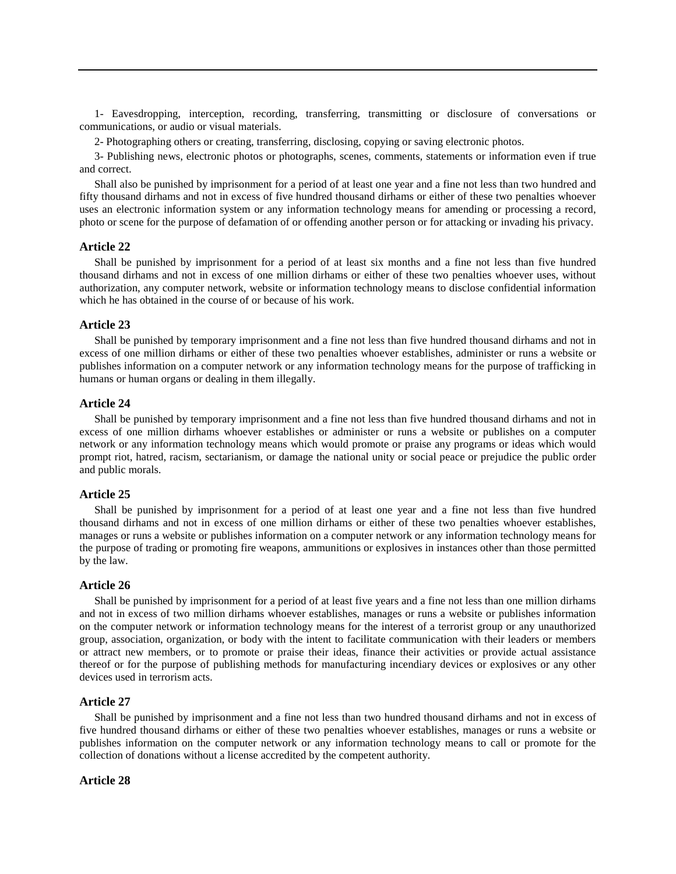1- Eavesdropping, interception, recording, transferring, transmitting or disclosure of conversations or communications, or audio or visual materials.

2- Photographing others or creating, transferring, disclosing, copying or saving electronic photos.

3- Publishing news, electronic photos or photographs, scenes, comments, statements or information even if true and correct.

Shall also be punished by imprisonment for a period of at least one year and a fine not less than two hundred and fifty thousand dirhams and not in excess of five hundred thousand dirhams or either of these two penalties whoever uses an electronic information system or any information technology means for amending or processing a record, photo or scene for the purpose of defamation of or offending another person or for attacking or invading his privacy.

## **Article 22**

Shall be punished by imprisonment for a period of at least six months and a fine not less than five hundred thousand dirhams and not in excess of one million dirhams or either of these two penalties whoever uses, without authorization, any computer network, website or information technology means to disclose confidential information which he has obtained in the course of or because of his work.

### **Article 23**

Shall be punished by temporary imprisonment and a fine not less than five hundred thousand dirhams and not in excess of one million dirhams or either of these two penalties whoever establishes, administer or runs a website or publishes information on a computer network or any information technology means for the purpose of trafficking in humans or human organs or dealing in them illegally.

## **Article 24**

Shall be punished by temporary imprisonment and a fine not less than five hundred thousand dirhams and not in excess of one million dirhams whoever establishes or administer or runs a website or publishes on a computer network or any information technology means which would promote or praise any programs or ideas which would prompt riot, hatred, racism, sectarianism, or damage the national unity or social peace or prejudice the public order and public morals.

## **Article 25**

Shall be punished by imprisonment for a period of at least one year and a fine not less than five hundred thousand dirhams and not in excess of one million dirhams or either of these two penalties whoever establishes, manages or runs a website or publishes information on a computer network or any information technology means for the purpose of trading or promoting fire weapons, ammunitions or explosives in instances other than those permitted by the law.

#### **Article 26**

Shall be punished by imprisonment for a period of at least five years and a fine not less than one million dirhams and not in excess of two million dirhams whoever establishes, manages or runs a website or publishes information on the computer network or information technology means for the interest of a terrorist group or any unauthorized group, association, organization, or body with the intent to facilitate communication with their leaders or members or attract new members, or to promote or praise their ideas, finance their activities or provide actual assistance thereof or for the purpose of publishing methods for manufacturing incendiary devices or explosives or any other devices used in terrorism acts.

#### **Article 27**

Shall be punished by imprisonment and a fine not less than two hundred thousand dirhams and not in excess of five hundred thousand dirhams or either of these two penalties whoever establishes, manages or runs a website or publishes information on the computer network or any information technology means to call or promote for the collection of donations without a license accredited by the competent authority.

#### **Article 28**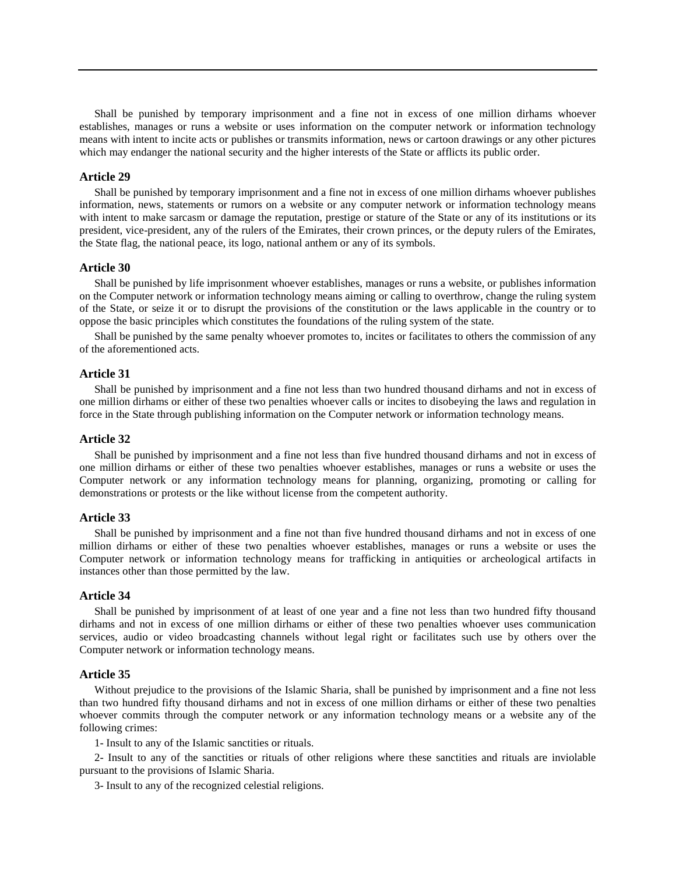Shall be punished by temporary imprisonment and a fine not in excess of one million dirhams whoever establishes, manages or runs a website or uses information on the computer network or information technology means with intent to incite acts or publishes or transmits information, news or cartoon drawings or any other pictures which may endanger the national security and the higher interests of the State or afflicts its public order.

## **Article 29**

Shall be punished by temporary imprisonment and a fine not in excess of one million dirhams whoever publishes information, news, statements or rumors on a website or any computer network or information technology means with intent to make sarcasm or damage the reputation, prestige or stature of the State or any of its institutions or its president, vice-president, any of the rulers of the Emirates, their crown princes, or the deputy rulers of the Emirates, the State flag, the national peace, its logo, national anthem or any of its symbols.

## **Article 30**

Shall be punished by life imprisonment whoever establishes, manages or runs a website, or publishes information on the Computer network or information technology means aiming or calling to overthrow, change the ruling system of the State, or seize it or to disrupt the provisions of the constitution or the laws applicable in the country or to oppose the basic principles which constitutes the foundations of the ruling system of the state.

Shall be punished by the same penalty whoever promotes to, incites or facilitates to others the commission of any of the aforementioned acts.

## **Article 31**

Shall be punished by imprisonment and a fine not less than two hundred thousand dirhams and not in excess of one million dirhams or either of these two penalties whoever calls or incites to disobeying the laws and regulation in force in the State through publishing information on the Computer network or information technology means.

#### **Article 32**

Shall be punished by imprisonment and a fine not less than five hundred thousand dirhams and not in excess of one million dirhams or either of these two penalties whoever establishes, manages or runs a website or uses the Computer network or any information technology means for planning, organizing, promoting or calling for demonstrations or protests or the like without license from the competent authority.

## **Article 33**

Shall be punished by imprisonment and a fine not than five hundred thousand dirhams and not in excess of one million dirhams or either of these two penalties whoever establishes, manages or runs a website or uses the Computer network or information technology means for trafficking in antiquities or archeological artifacts in instances other than those permitted by the law.

## **Article 34**

Shall be punished by imprisonment of at least of one year and a fine not less than two hundred fifty thousand dirhams and not in excess of one million dirhams or either of these two penalties whoever uses communication services, audio or video broadcasting channels without legal right or facilitates such use by others over the Computer network or information technology means.

## **Article 35**

Without prejudice to the provisions of the Islamic Sharia, shall be punished by imprisonment and a fine not less than two hundred fifty thousand dirhams and not in excess of one million dirhams or either of these two penalties whoever commits through the computer network or any information technology means or a website any of the following crimes:

1- Insult to any of the Islamic sanctities or rituals.

2- Insult to any of the sanctities or rituals of other religions where these sanctities and rituals are inviolable pursuant to the provisions of Islamic Sharia.

3- Insult to any of the recognized celestial religions.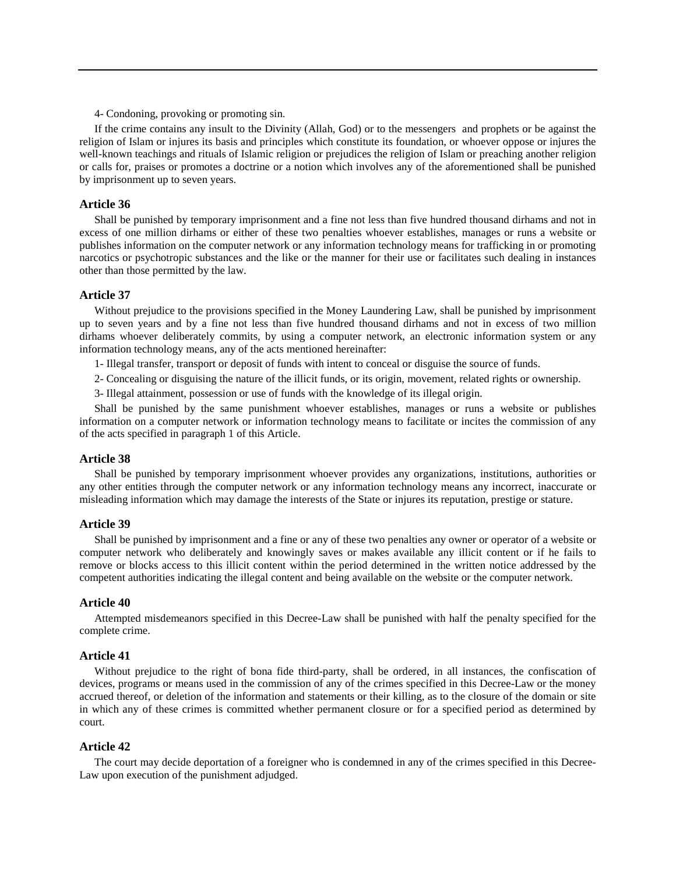4- Condoning, provoking or promoting sin.

If the crime contains any insult to the Divinity (Allah, God) or to the messengers and prophets or be against the religion of Islam or injures its basis and principles which constitute its foundation, or whoever oppose or injures the well-known teachings and rituals of Islamic religion or prejudices the religion of Islam or preaching another religion or calls for, praises or promotes a doctrine or a notion which involves any of the aforementioned shall be punished by imprisonment up to seven years.

#### **Article 36**

Shall be punished by temporary imprisonment and a fine not less than five hundred thousand dirhams and not in excess of one million dirhams or either of these two penalties whoever establishes, manages or runs a website or publishes information on the computer network or any information technology means for trafficking in or promoting narcotics or psychotropic substances and the like or the manner for their use or facilitates such dealing in instances other than those permitted by the law.

#### **Article 37**

Without prejudice to the provisions specified in the Money Laundering Law, shall be punished by imprisonment up to seven years and by a fine not less than five hundred thousand dirhams and not in excess of two million dirhams whoever deliberately commits, by using a computer network, an electronic information system or any information technology means, any of the acts mentioned hereinafter:

1- Illegal transfer, transport or deposit of funds with intent to conceal or disguise the source of funds.

2- Concealing or disguising the nature of the illicit funds, or its origin, movement, related rights or ownership.

3- Illegal attainment, possession or use of funds with the knowledge of its illegal origin.

Shall be punished by the same punishment whoever establishes, manages or runs a website or publishes information on a computer network or information technology means to facilitate or incites the commission of any of the acts specified in paragraph 1 of this Article.

#### **Article 38**

Shall be punished by temporary imprisonment whoever provides any organizations, institutions, authorities or any other entities through the computer network or any information technology means any incorrect, inaccurate or misleading information which may damage the interests of the State or injures its reputation, prestige or stature.

## **Article 39**

Shall be punished by imprisonment and a fine or any of these two penalties any owner or operator of a website or computer network who deliberately and knowingly saves or makes available any illicit content or if he fails to remove or blocks access to this illicit content within the period determined in the written notice addressed by the competent authorities indicating the illegal content and being available on the website or the computer network.

#### **Article 40**

Attempted misdemeanors specified in this Decree-Law shall be punished with half the penalty specified for the complete crime.

## **Article 41**

Without prejudice to the right of bona fide third-party, shall be ordered, in all instances, the confiscation of devices, programs or means used in the commission of any of the crimes specified in this Decree-Law or the money accrued thereof, or deletion of the information and statements or their killing, as to the closure of the domain or site in which any of these crimes is committed whether permanent closure or for a specified period as determined by court.

### **Article 42**

The court may decide deportation of a foreigner who is condemned in any of the crimes specified in this Decree-Law upon execution of the punishment adjudged.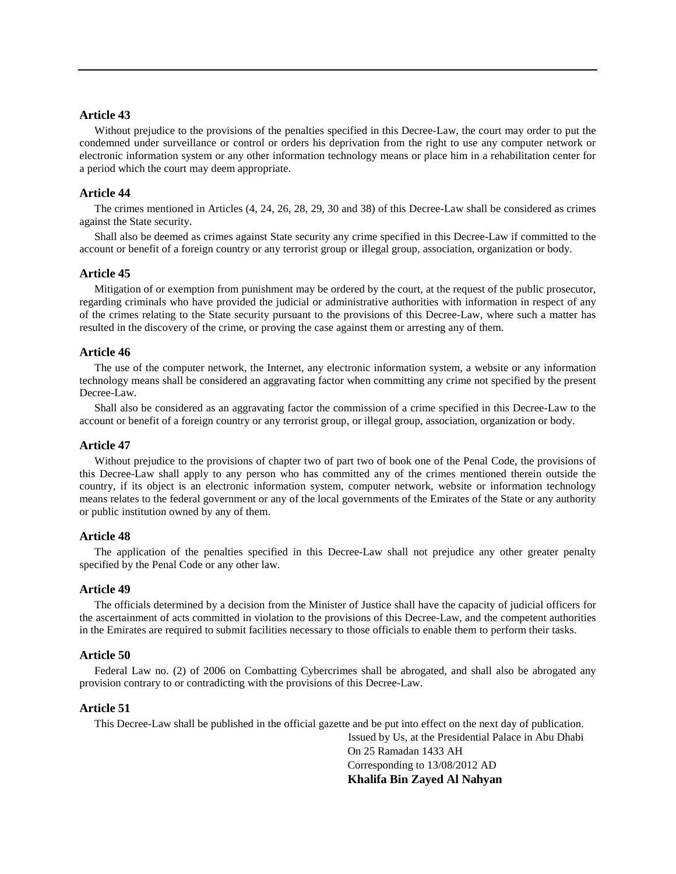## **Article 43**

Without prejudice to the provisions of the penalties specified in this Decree-Law, the court may order to put the condemned under surveillance or control or orders his deprivation from the right to use any computer network or electronic information system or any other information technology means or place him in a rehabilitation center for a period which the court may deem appropriate.

## **Article 44**

The crimes mentioned in Articles (4, 24, 26, 28, 29, 30 and 38) of this Decree-Law shall be considered as crimes against the State security.

Shall also be deemed as crimes against State security any crime specified in this Decree-Law if committed to the account or benefit of a foreign country or any terrorist group or illegal group, association, organization or body.

## **Article 45**

Mitigation of or exemption from punishment may be ordered by the court, at the request of the public prosecutor, regarding criminals who have provided the judicial or administrative authorities with information in respect of any of the crimes relating to the State security pursuant to the provisions of this Decree-Law, where such a matter has resulted in the discovery of the crime, or proving the case against them or arresting any of them.

#### **Article 46**

The use of the computer network, the Internet, any electronic information system, a website or any information technology means shall be considered an aggravating factor when committing any crime not specified by the present Decree-Law.

Shall also be considered as an aggravating factor the commission of a crime specified in this Decree-Law to the account or benefit of a foreign country or any terrorist group, or illegal group, association, organization or body.

#### **Article 47**

Without prejudice to the provisions of chapter two of part two of book one of the Penal Code, the provisions of this Decree-Law shall apply to any person who has committed any of the crimes mentioned therein outside the country, if its object is an electronic information system, computer network, website or information technology means relates to the federal government or any of the local governments of the Emirates of the State or any authority or public institution owned by any of them.

## **Article 48**

The application of the penalties specified in this Decree-Law shall not prejudice any other greater penalty specified by the Penal Code or any other law.

## **Article 49**

The officials determined by a decision from the Minister of Justice shall have the capacity of judicial officers for the ascertainment of acts committed in violation to the provisions of this Decree-Law, and the competent authorities in the Emirates are required to submit facilities necessary to those officials to enable them to perform their tasks.

## **Article 50**

Federal Law no. (2) of 2006 on Combatting Cybercrimes shall be abrogated, and shall also be abrogated any provision contrary to or contradicting with the provisions of this Decree-Law.

#### **Article 51**

This Decree-Law shall be published in the official gazette and be put into effect on the next day of publication.

Issued by Us, at the Presidential Palace in Abu Dhabi On 25 Ramadan 1433 AH Corresponding to 13/08/2012 AD **Khalifa Bin Zayed Al Nahyan**